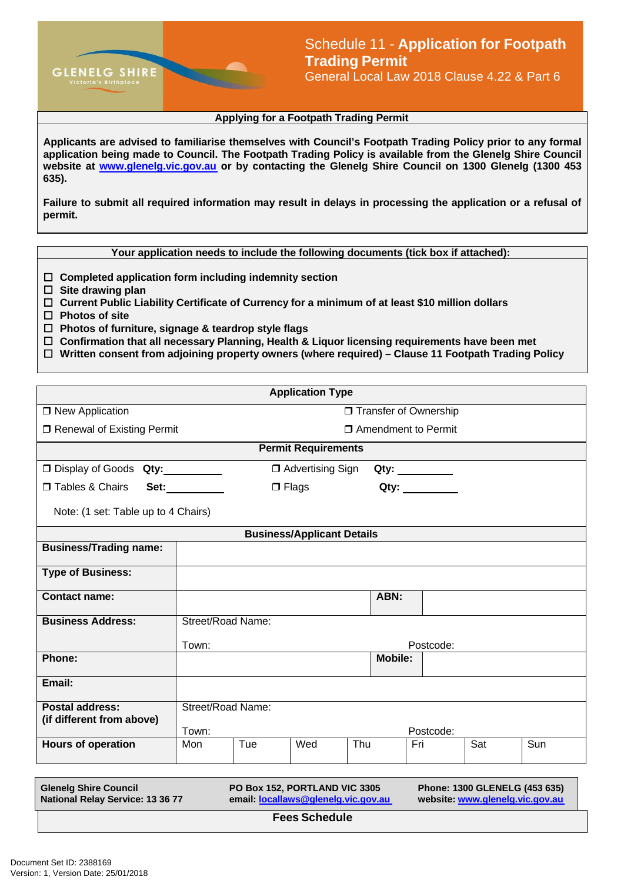

## **Applying for a Footpath Trading Permit**

**Applicants are advised to familiarise themselves with Council's Footpath Trading Policy prior to any formal application being made to Council. The Footpath Trading Policy is available from the Glenelg Shire Council website at [www.glenelg.vic.gov.au](http://www.glenelg.vic.gov.au/) or by contacting the Glenelg Shire Council on 1300 Glenelg (1300 453 635).**

**Failure to submit all required information may result in delays in processing the application or a refusal of permit.**

**Your application needs to include the following documents (tick box if attached):**

- **Completed application form including indemnity section**
- **Site drawing plan**
- **Current Public Liability Certificate of Currency for a minimum of at least \$10 million dollars**
- **Photos of site**
- **Photos of furniture, signage & teardrop style flags**
- **Confirmation that all necessary Planning, Health & Liquor licensing requirements have been met**
- **Written consent from adjoining property owners (where required) Clause 11 Footpath Trading Policy**

| <b>Application Type</b>                                                                                                                                                                                      |                            |     |                    |     |                 |           |     |     |
|--------------------------------------------------------------------------------------------------------------------------------------------------------------------------------------------------------------|----------------------------|-----|--------------------|-----|-----------------|-----------|-----|-----|
| $\Box$ New Application                                                                                                                                                                                       | □ Transfer of Ownership    |     |                    |     |                 |           |     |     |
| □ Renewal of Existing Permit                                                                                                                                                                                 | □ Amendment to Permit      |     |                    |     |                 |           |     |     |
| <b>Permit Requirements</b>                                                                                                                                                                                   |                            |     |                    |     |                 |           |     |     |
| □ Display of Goods Qty:                                                                                                                                                                                      |                            |     | □ Advertising Sign |     | Qty: __________ |           |     |     |
| Tables & Chairs                                                                                                                                                                                              | Set:                       |     | $\Box$ Flags       |     | Qty:            |           |     |     |
| Note: (1 set: Table up to 4 Chairs)                                                                                                                                                                          |                            |     |                    |     |                 |           |     |     |
| <b>Business/Applicant Details</b>                                                                                                                                                                            |                            |     |                    |     |                 |           |     |     |
| <b>Business/Trading name:</b>                                                                                                                                                                                |                            |     |                    |     |                 |           |     |     |
| <b>Type of Business:</b>                                                                                                                                                                                     |                            |     |                    |     |                 |           |     |     |
| <b>Contact name:</b>                                                                                                                                                                                         |                            |     |                    |     | ABN:            |           |     |     |
| <b>Business Address:</b>                                                                                                                                                                                     | Street/Road Name:          |     |                    |     |                 |           |     |     |
|                                                                                                                                                                                                              | Town:                      |     |                    |     |                 | Postcode: |     |     |
| Phone:                                                                                                                                                                                                       |                            |     |                    |     | <b>Mobile:</b>  |           |     |     |
| Email:                                                                                                                                                                                                       |                            |     |                    |     |                 |           |     |     |
| <b>Postal address:</b><br>(if different from above)                                                                                                                                                          | Street/Road Name:<br>Town: |     |                    |     |                 | Postcode: |     |     |
| <b>Hours of operation</b>                                                                                                                                                                                    | Mon                        | Tue | Wed                | Thu |                 | Fri       | Sat | Sun |
|                                                                                                                                                                                                              |                            |     |                    |     |                 |           |     |     |
| <b>Glenelg Shire Council</b><br>PO Box 152, PORTLAND VIC 3305<br>Phone: 1300 GLENELG (453 635)<br>National Relay Service: 13 36 77<br>email: locallaws@glenelg.vic.gov.au<br>website: www.glenelg.vic.gov.au |                            |     |                    |     |                 |           |     |     |

**Fees Schedule**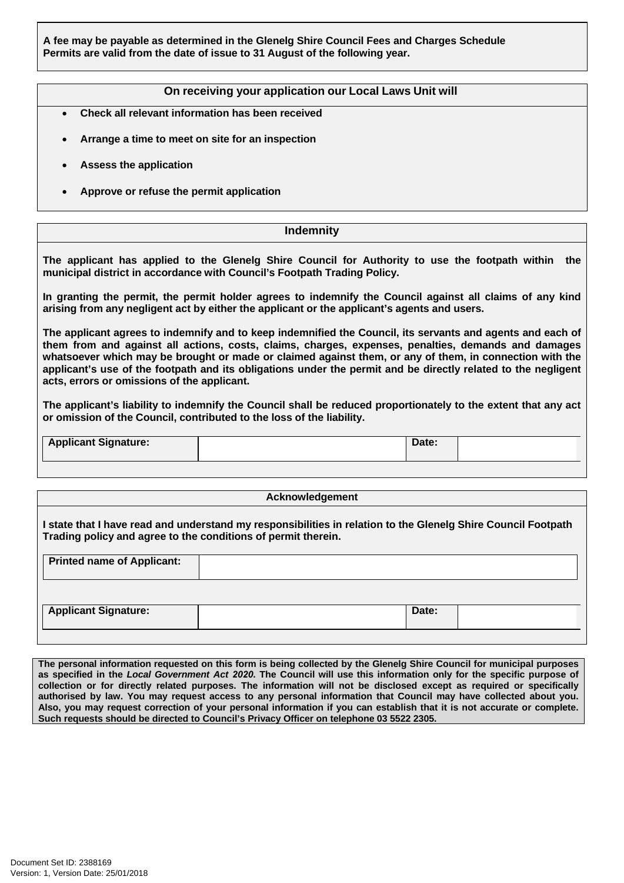**A fee may be payable as determined in the Glenelg Shire Council Fees and Charges Schedule Permits are valid from the date of issue to 31 August of the following year.**

## **On receiving your application our Local Laws Unit will**

- **Check all relevant information has been received**
- **Arrange a time to meet on site for an inspection**
- **Assess the application**
- **Approve or refuse the permit application**

## **Indemnity**

**The applicant has applied to the Glenelg Shire Council for Authority to use the footpath within the municipal district in accordance with Council's Footpath Trading Policy.**

**In granting the permit, the permit holder agrees to indemnify the Council against all claims of any kind arising from any negligent act by either the applicant or the applicant's agents and users.**

**The applicant agrees to indemnify and to keep indemnified the Council, its servants and agents and each of them from and against all actions, costs, claims, charges, expenses, penalties, demands and damages whatsoever which may be brought or made or claimed against them, or any of them, in connection with the applicant's use of the footpath and its obligations under the permit and be directly related to the negligent acts, errors or omissions of the applicant.**

**The applicant's liability to indemnify the Council shall be reduced proportionately to the extent that any act or omission of the Council, contributed to the loss of the liability.**

**Applicant Signature: Date:**

## **Acknowledgement**

**I state that I have read and understand my responsibilities in relation to the Glenelg Shire Council Footpath Trading policy and agree to the conditions of permit therein.**

| <b>Printed name of Applicant:</b> |       |
|-----------------------------------|-------|
|                                   |       |
| <b>Applicant Signature:</b>       | Date: |

**The personal information requested on this form is being collected by the Glenelg Shire Council for municipal purposes**  as specified in the Local Government Act 2020. The Council will use this information only for the specific purpose of collection or for directly related purposes. The information will not be disclosed except as required or specifically authorised by law. You may request access to any personal information that Council may have collected about you. Also, you may request correction of your personal information if you can establish that it is not accurate or complete. **Such requests should be directed to Council's Privacy Officer on telephone 03 5522 2305.**